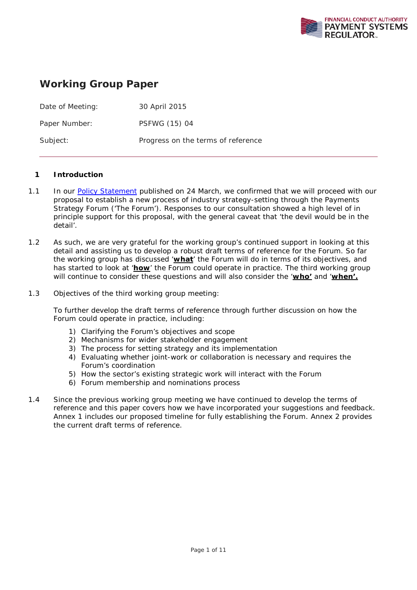

# **Working Group Paper**

| Date of Meeting: | 30 April 2015                      |
|------------------|------------------------------------|
| Paper Number:    | PSFWG (15) 04                      |
| Subject:         | Progress on the terms of reference |

## **1 Introduction**

- 1.1 In our Policy Statement published on 24 March, we confirmed that we will proceed with our proposal to establish a new process of industry strategy-setting through the Payments Strategy Forum ('The Forum'). Responses to our consultation showed a high level of in principle support for this proposal, with the general caveat that 'the devil would be in the detail'.
- 1.2 As such, we are very grateful for the working group's continued support in looking at this detail and assisting us to develop a robust draft terms of reference for the Forum. So far the working group has discussed '**what**' the Forum will do in terms of its objectives, and has started to look at '**how**' the Forum could operate in practice. The third working group will continue to consider these questions and will also consider the '**who'** and '**when'.**
- 1.3 Objectives of the third working group meeting:

To further develop the draft terms of reference through further discussion on how the Forum could operate in practice, including:

- 1) Clarifying the Forum's objectives and scope
- 2) Mechanisms for wider stakeholder engagement
- 3) The process for setting strategy and its implementation
- 4) Evaluating whether joint-work or collaboration is necessary and requires the Forum's coordination
- 5) How the sector's existing strategic work will interact with the Forum
- 6) Forum membership and nominations process
- 1.4 Since the previous working group meeting we have continued to develop the terms of reference and this paper covers how we have incorporated your suggestions and feedback. Annex 1 includes our proposed timeline for fully establishing the Forum. Annex 2 provides the current draft terms of reference.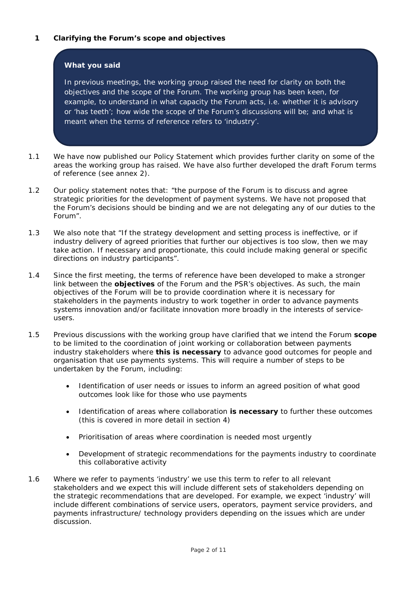## **What you said**

In previous meetings, the working group raised the need for clarity on both the objectives and the scope of the Forum. The working group has been keen, for example, to understand in what capacity the Forum acts, i.e. whether it is advisory or 'has teeth'; how wide the scope of the Forum's discussions will be; and what is meant when the terms of reference refers to 'industry'.

- 1.1 We have now published our Policy Statement which provides further clarity on some of the areas the working group has raised. We have also further developed the draft Forum terms of reference (see annex 2).
- 1.2 Our policy statement notes that: "*the purpose of the Forum is to discuss and agree strategic priorities for the development of payment systems. We have not proposed that the Forum's decisions should be binding and we are not delegating any of our duties to the Forum*".
- 1.3 We also note that "*If the strategy development and setting process is ineffective, or if industry delivery of agreed priorities that further our objectives is too slow, then we may take action. If necessary and proportionate, this could include making general or specific directions on industry participants*".
- 1.4 Since the first meeting, the terms of reference have been developed to make a stronger link between the **objectives** of the Forum and the PSR's objectives. As such, the main objectives of the Forum will be to *provide coordination where it is necessary for stakeholders in the payments industry to work together in order to advance payments systems innovation and/or facilitate innovation more broadly in the interests of serviceusers*.
- 1.5 Previous discussions with the working group have clarified that we intend the Forum **scope** to be limited to the coordination of joint working or collaboration between payments industry stakeholders where **this is necessary** to advance good outcomes for people and organisation that use payments systems. This will require a number of steps to be undertaken by the Forum, including:
	- Identification of user needs or issues to inform an agreed position of what good outcomes look like for those who use payments
	- Identification of areas where collaboration **is necessary** to further these outcomes (this is covered in more detail in section 4)
	- Prioritisation of areas where coordination is needed most urgently
	- Development of strategic recommendations for the payments industry to coordinate this collaborative activity
- 1.6 Where we refer to payments 'industry' we use this term to refer to all *relevant* stakeholders and we expect this will include different sets of stakeholders depending on the strategic recommendations that are developed. For example, we expect 'industry' will include different combinations of service users, operators, payment service providers, and payments infrastructure/ technology providers depending on the issues which are under discussion.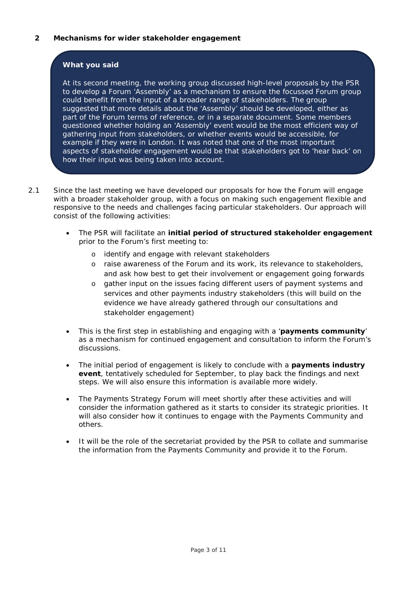# **What you said**

At its second meeting, the working group discussed high-level proposals by the PSR to develop a Forum 'Assembly' as a mechanism to ensure the focussed Forum group could benefit from the input of a broader range of stakeholders. The group suggested that more details about the 'Assembly' should be developed, either as part of the Forum terms of reference, or in a separate document. Some members questioned whether holding an 'Assembly' event would be the most efficient way of gathering input from stakeholders, or whether events would be accessible, for example if they were in London. It was noted that one of the most important aspects of stakeholder engagement would be that stakeholders got to 'hear back' on how their input was being taken into account.

- 2.1 Since the last meeting we have developed our proposals for how the Forum will engage with a broader stakeholder group, with a focus on making such engagement flexible and responsive to the needs and challenges facing particular stakeholders. Our approach will consist of the following activities:
	- The PSR will facilitate an **initial period of structured stakeholder engagement** prior to the Forum's first meeting to:
		- o identify and engage with relevant stakeholders
		- o raise awareness of the Forum and its work, its relevance to stakeholders, and ask how best to get their involvement or engagement going forwards
		- o gather input on the issues facing different users of payment systems and services and other payments industry stakeholders (this will build on the evidence we have already gathered through our consultations and stakeholder engagement)
	- This is the first step in establishing and engaging with a '**payments community**' as a mechanism for continued engagement and consultation to inform the Forum's discussions.
	- The initial period of engagement is likely to conclude with a **payments industry event**, tentatively scheduled for September, to play back the findings and next steps. We will also ensure this information is available more widely.
	- The Payments Strategy Forum will meet shortly after these activities and will consider the information gathered as it starts to consider its strategic priorities. It will also consider how it continues to engage with the Payments Community and others.
	- It will be the role of the secretariat provided by the PSR to collate and summarise the information from the Payments Community and provide it to the Forum.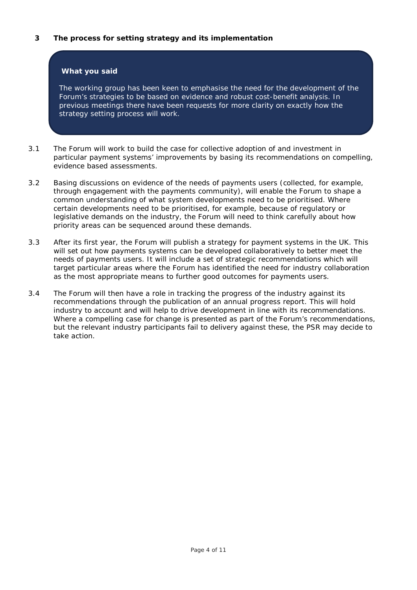## **3 The process for setting strategy and its implementation**

## **What you said**

The working group has been keen to emphasise the need for the development of the Forum's strategies to be based on evidence and robust cost-benefit analysis. In previous meetings there have been requests for more clarity on exactly how the strategy setting process will work.

- 3.1 The Forum will work to build the case for collective adoption of and investment in particular payment systems' improvements by basing its recommendations on compelling, evidence based assessments.
- 3.2 Basing discussions on evidence of the needs of payments users (collected, for example, through engagement with the payments community), will enable the Forum to shape a common understanding of what system developments need to be prioritised. Where certain developments need to be prioritised, for example, because of regulatory or legislative demands on the industry, the Forum will need to think carefully about how priority areas can be sequenced around these demands.
- 3.3 After its first year, the Forum will publish a strategy for payment systems in the UK. This will set out how payments systems can be developed collaboratively to better meet the needs of payments users. It will include a set of strategic recommendations which will target particular areas where the Forum has identified the need for industry collaboration as the most appropriate means to further good outcomes for payments users.
- 3.4 The Forum will then have a role in tracking the progress of the industry against its recommendations through the publication of an annual progress report. This will hold industry to account and will help to drive development in line with its recommendations. Where a compelling case for change is presented as part of the Forum's recommendations, but the relevant industry participants fail to delivery against these, the PSR may decide to take action.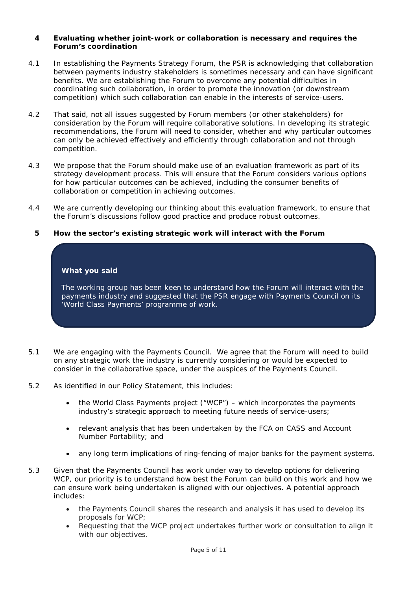#### **4 Evaluating whether joint-work or collaboration is necessary and requires the Forum's coordination**

- 4.1 In establishing the Payments Strategy Forum, the PSR is acknowledging that collaboration between payments industry stakeholders is sometimes necessary and can have significant benefits. We are establishing the Forum to overcome any potential difficulties in coordinating such collaboration, in order to promote the innovation (or downstream competition) which such collaboration can enable in the interests of service-users.
- 4.2 That said, not all issues suggested by Forum members (or other stakeholders) for consideration by the Forum will require collaborative solutions. In developing its strategic recommendations, the Forum will need to consider, whether and why particular outcomes can only be achieved effectively and efficiently through collaboration and not through competition.
- 4.3 We propose that the Forum should make use of an evaluation framework as part of its strategy development process. This will ensure that the Forum considers various options for how particular outcomes can be achieved, including the consumer benefits of collaboration or competition in achieving outcomes.
- 4.4 We are currently developing our thinking about this evaluation framework, to ensure that the Forum's discussions follow good practice and produce robust outcomes.
	- **5 How the sector's existing strategic work will interact with the Forum**

#### **What you said**

The working group has been keen to understand how the Forum will interact with the payments industry and suggested that the PSR engage with Payments Council on its 'World Class Payments' programme of work.

- 5.1 We are engaging with the Payments Council. We agree that the Forum will need to build on any strategic work the industry is currently considering or would be expected to consider in the collaborative space, under the auspices of the Payments Council.
- 5.2 As identified in our Policy Statement, this includes:
	- the World Class Payments project ("WCP") which incorporates the payments industry's strategic approach to meeting future needs of service-users;
	- relevant analysis that has been undertaken by the FCA on CASS and Account Number Portability; and
	- any long term implications of ring-fencing of major banks for the payment systems.
- 5.3 Given that the Payments Council has work under way to develop options for delivering WCP, our priority is to understand how best the Forum can build on this work and how we can ensure work being undertaken is aligned with our objectives. A potential approach includes:
	- the Payments Council shares the research and analysis it has used to develop its proposals for WCP;
	- Requesting that the WCP project undertakes further work or consultation to align it with our objectives.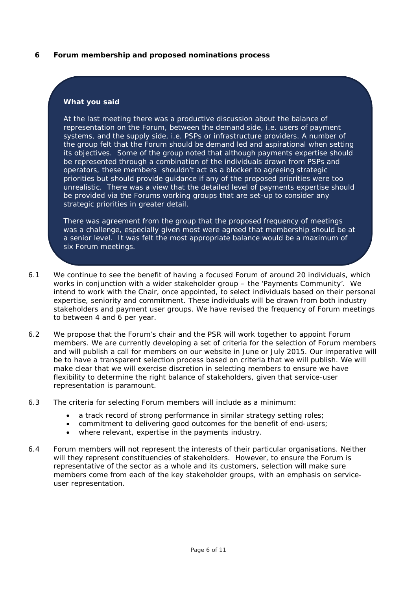## **6 Forum membership and proposed nominations process**

#### **What you said**

At the last meeting there was a productive discussion about the balance of representation on the Forum, between the demand side, i.e. users of payment systems, and the supply side, i.e. PSPs or infrastructure providers. A number of the group felt that the Forum should be demand led and aspirational when setting its objectives. Some of the group noted that although payments expertise should be represented through a combination of the individuals drawn from PSPs and operators, these members shouldn't act as a blocker to agreeing strategic priorities but should provide guidance if any of the proposed priorities were too unrealistic. There was a view that the detailed level of payments expertise should be provided via the Forums working groups that are set-up to consider any strategic priorities in greater detail.

There was agreement from the group that the proposed frequency of meetings was a challenge, especially given most were agreed that membership should be at a senior level. It was felt the most appropriate balance would be a maximum of six Forum meetings.

- 6.1 We continue to see the benefit of having a focused Forum of around 20 individuals, which works in conjunction with a wider stakeholder group – the 'Payments Community'. We intend to work with the Chair, once appointed, to select individuals based on their personal expertise, seniority and commitment. These individuals will be drawn from both industry stakeholders and payment user groups. We have revised the frequency of Forum meetings to between 4 and 6 per year.
- 6.2 We propose that the Forum's chair and the PSR will work together to appoint Forum members. We are currently developing a set of criteria for the selection of Forum members and will publish a call for members on our website in June or July 2015. Our imperative will be to have a transparent selection process based on criteria that we will publish. We will make clear that we will exercise discretion in selecting members to ensure we have flexibility to determine the right balance of stakeholders, given that service-user representation is paramount.
- 6.3 The criteria for selecting Forum members will include as a minimum:
	- a track record of strong performance in similar strategy setting roles;
	- commitment to delivering good outcomes for the benefit of end-users;
	- where relevant, expertise in the payments industry.
- 6.4 Forum members will not represent the interests of their particular organisations. Neither will they represent constituencies of stakeholders. However, to ensure the Forum is representative of the sector as a whole and its customers, selection will make sure members come from each of the key stakeholder groups, with an emphasis on serviceuser representation.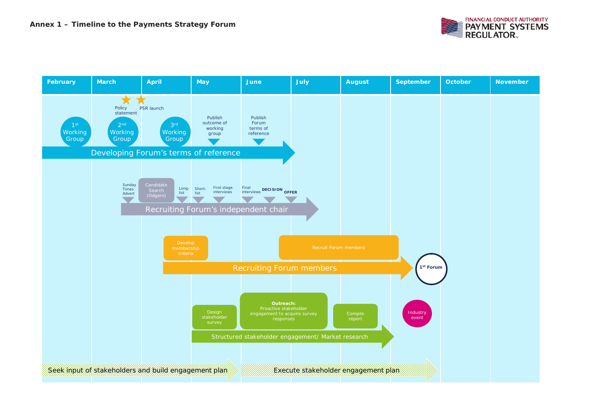

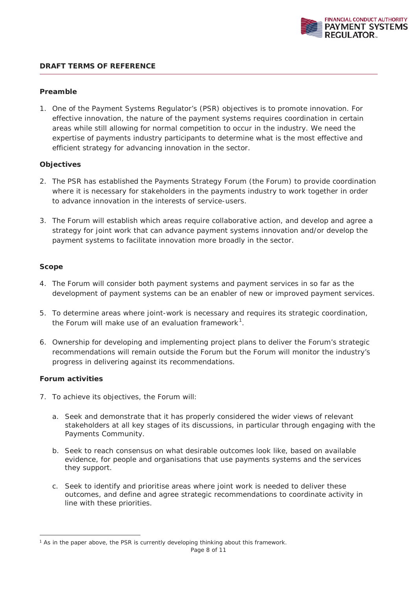

## **DRAFT TERMS OF REFERENCE**

#### **Preamble**

1. One of the Payment Systems Regulator's (PSR) objectives is to promote innovation. For effective innovation, the nature of the payment systems requires coordination in certain areas while still allowing for normal competition to occur in the industry. We need the expertise of payments industry participants to determine what is the most effective and efficient strategy for advancing innovation in the sector.

#### **Objectives**

- 2. The PSR has established the Payments Strategy Forum (the Forum) to provide coordination where it is necessary for stakeholders in the payments industry to work together in order to advance innovation in the interests of service-users.
- 3. The Forum will establish which areas require collaborative action, and develop and agree a strategy for joint work that can advance payment systems innovation and/or develop the payment systems to facilitate innovation more broadly in the sector.

#### **Scope**

- 4. The Forum will consider both payment systems and payment services in so far as the development of payment systems can be an enabler of new or improved payment services.
- 5. To determine areas where joint-work is necessary and requires its strategic coordination, the Forum will make use of an evaluation framework<sup>1</sup>.
- 6. Ownership for developing and implementing project plans to deliver the Forum's strategic recommendations will remain outside the Forum but the Forum will monitor the industry's progress in delivering against its recommendations.

## **Forum activities**

- 7. To achieve its objectives, the Forum will:
	- a. Seek and demonstrate that it has properly considered the wider views of relevant stakeholders at all key stages of its discussions, in particular through engaging with the Payments Community.
	- b. Seek to reach consensus on what desirable outcomes look like, based on available evidence, for people and organisations that use payments systems and the services they support.
	- c. Seek to identify and prioritise areas where joint work is needed to deliver these outcomes, and define and agree strategic recommendations to coordinate activity in line with these priorities.

<sup>&</sup>lt;sup>1</sup> As in the paper above, the PSR is currently developing thinking about this framework.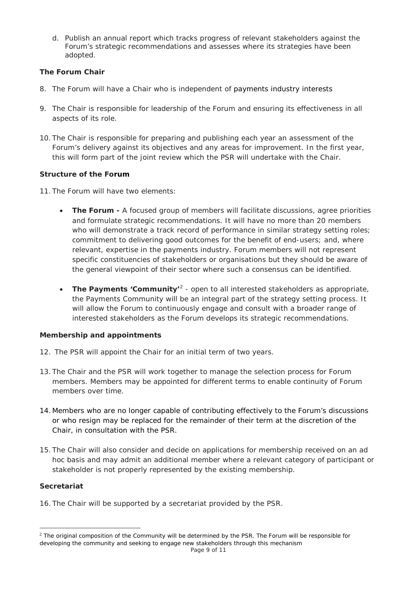d. Publish an annual report which tracks progress of relevant stakeholders against the Forum's strategic recommendations and assesses where its strategies have been adopted.

# **The Forum Chair**

- 8. The Forum will have a Chair who is independent of payments industry interests
- 9. The Chair is responsible for leadership of the Forum and ensuring its effectiveness in all aspects of its role.
- 10. The Chair is responsible for preparing and publishing each year an assessment of the Forum's delivery against its objectives and any areas for improvement. In the first year, this will form part of the joint review which the PSR will undertake with the Chair.

# **Structure of the Forum**

- 11. The Forum will have two elements:
	- **The Forum -** A focused group of members will facilitate discussions, agree priorities and formulate strategic recommendations. It will have no more than 20 members who will demonstrate a track record of performance in similar strategy setting roles; commitment to delivering good outcomes for the benefit of end-users; and, where relevant, expertise in the payments industry. Forum members will not represent specific constituencies of stakeholders or organisations but they should be aware of the general viewpoint of their sector where such a consensus can be identified.
	- **The Payments 'Community'**<sup>2</sup> open to all interested stakeholders as appropriate, the Payments Community will be an integral part of the strategy setting process. It will allow the Forum to continuously engage and consult with a broader range of interested stakeholders as the Forum develops its strategic recommendations.

## **Membership and appointments**

- 12. The PSR will appoint the Chair for an initial term of two years.
- 13. The Chair and the PSR will work together to manage the selection process for Forum members. Members may be appointed for different terms to enable continuity of Forum members over time.
- 14. Members who are no longer capable of contributing effectively to the Forum's discussions or who resign may be replaced for the remainder of their term at the discretion of the Chair, in consultation with the PSR.
- 15. The Chair will also consider and decide on applications for membership received on an ad hoc basis and may admit an additional member where a relevant category of participant or stakeholder is not properly represented by the existing membership.

## **Secretariat**

16. The Chair will be supported by a secretariat provided by the PSR.

<sup>&</sup>lt;sup>2</sup> The original composition of the Community will be determined by the PSR. The Forum will be responsible for developing the community and seeking to engage new stakeholders through this mechanism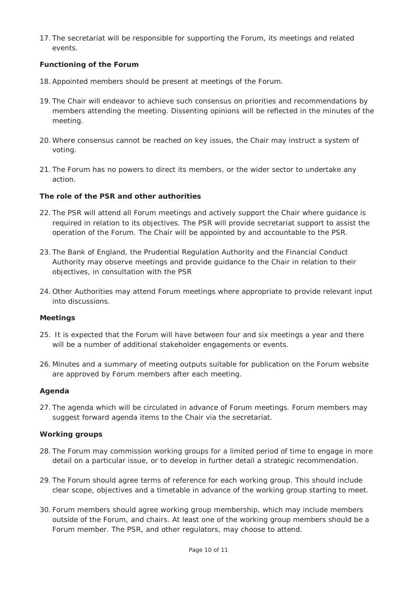17. The secretariat will be responsible for supporting the Forum, its meetings and related events.

# **Functioning of the Forum**

- 18.Appointed members should be present at meetings of the Forum.
- 19. The Chair will endeavor to achieve such consensus on priorities and recommendations by members attending the meeting. Dissenting opinions will be reflected in the minutes of the meeting.
- 20. Where consensus cannot be reached on key issues, the Chair may instruct a system of voting.
- 21. The Forum has no powers to direct its members, or the wider sector to undertake any action.

## **The role of the PSR and other authorities**

- 22. The PSR will attend all Forum meetings and actively support the Chair where guidance is required in relation to its objectives. The PSR will provide secretariat support to assist the operation of the Forum. The Chair will be appointed by and accountable to the PSR.
- 23. The Bank of England, the Prudential Regulation Authority and the Financial Conduct Authority may observe meetings and provide guidance to the Chair in relation to their objectives, in consultation with the PSR
- 24. Other Authorities may attend Forum meetings where appropriate to provide relevant input into discussions.

## **Meetings**

- 25. It is expected that the Forum will have between four and six meetings a year and there will be a number of additional stakeholder engagements or events.
- 26. Minutes and a summary of meeting outputs suitable for publication on the Forum website are approved by Forum members after each meeting.

## **Agenda**

27. The agenda which will be circulated in advance of Forum meetings. Forum members may suggest forward agenda items to the Chair via the secretariat.

## **Working groups**

- 28. The Forum may commission working groups for a limited period of time to engage in more detail on a particular issue, or to develop in further detail a strategic recommendation.
- 29. The Forum should agree terms of reference for each working group. This should include clear scope, objectives and a timetable in advance of the working group starting to meet.
- 30. Forum members should agree working group membership, which may include members outside of the Forum, and chairs. At least one of the working group members should be a Forum member. The PSR, and other regulators, may choose to attend.